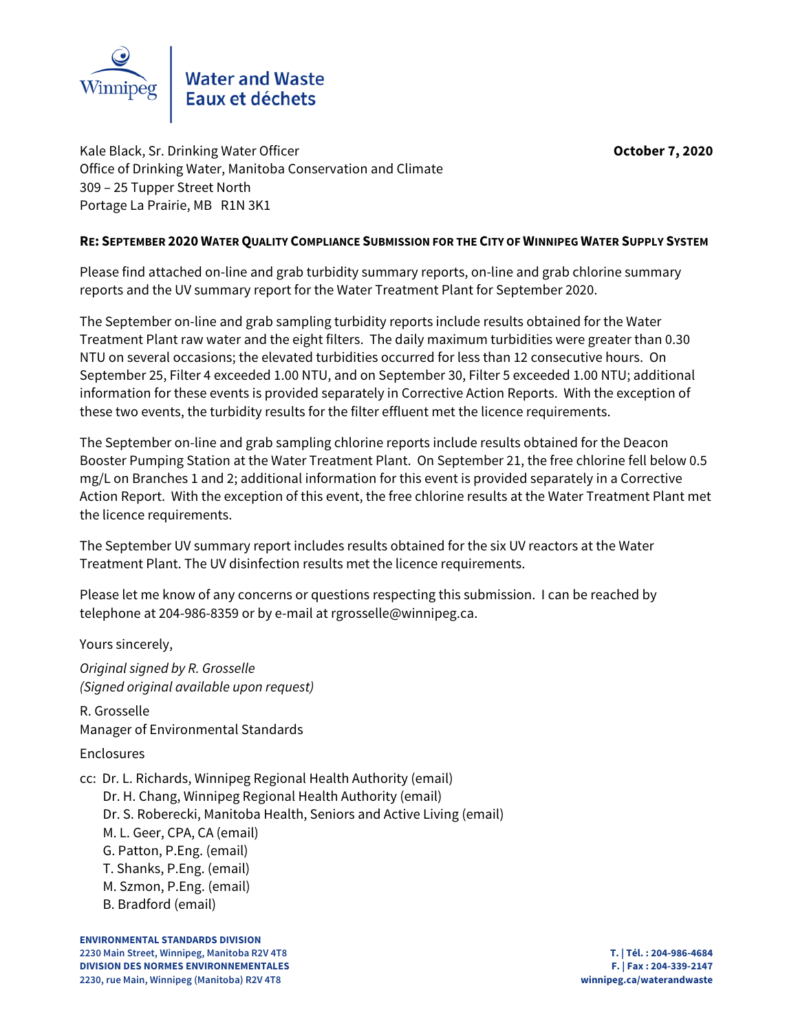

Kale Black, Sr. Drinking Water Officer **October 7, 2020** Office of Drinking Water, Manitoba Conservation and Climate 309 – 25 Tupper Street North Portage La Prairie, MB R1N 3K1

# **RE: SEPTEMBER 2020 WATER QUALITY COMPLIANCE SUBMISSION FOR THE CITY OF WINNIPEG WATER SUPPLY SYSTEM**

Please find attached on-line and grab turbidity summary reports, on-line and grab chlorine summary reports and the UV summary report for the Water Treatment Plant for September 2020.

The September on-line and grab sampling turbidity reports include results obtained for the Water Treatment Plant raw water and the eight filters. The daily maximum turbidities were greater than 0.30 NTU on several occasions; the elevated turbidities occurred for less than 12 consecutive hours. On September 25, Filter 4 exceeded 1.00 NTU, and on September 30, Filter 5 exceeded 1.00 NTU; additional information for these events is provided separately in Corrective Action Reports. With the exception of these two events, the turbidity results for the filter effluent met the licence requirements.

The September on-line and grab sampling chlorine reports include results obtained for the Deacon Booster Pumping Station at the Water Treatment Plant. On September 21, the free chlorine fell below 0.5 mg/L on Branches 1 and 2; additional information for this event is provided separately in a Corrective Action Report. With the exception of this event, the free chlorine results at the Water Treatment Plant met the licence requirements.

The September UV summary report includes results obtained for the six UV reactors at the Water Treatment Plant. The UV disinfection results met the licence requirements.

Please let me know of any concerns or questions respecting this submission. I can be reached by telephone at 204-986-8359 or by e-mail at rgrosselle@winnipeg.ca.

Yours sincerely,

Original signed by R. Grosselle (Signed original available upon request)

R. Grosselle Manager of Environmental Standards

Enclosures

cc: Dr. L. Richards, Winnipeg Regional Health Authority (email)

Dr. H. Chang, Winnipeg Regional Health Authority (email)

Dr. S. Roberecki, Manitoba Health, Seniors and Active Living (email)

- M. L. Geer, CPA, CA (email)
- G. Patton, P.Eng. (email)
- T. Shanks, P.Eng. (email)
- M. Szmon, P.Eng. (email)
- B. Bradford (email)

**ENVIRONMENTAL STANDARDS DIVISION 2230 Main Street, Winnipeg, Manitoba R2V 4T8 T. | Tél. : 204-986-4684 DIVISION DES NORMES ENVIRONNEMENTALES F. | Fax : 204-339-2147 2230, rue Main, Winnipeg (Manitoba) R2V 4T8 winnipeg.ca/waterandwaste**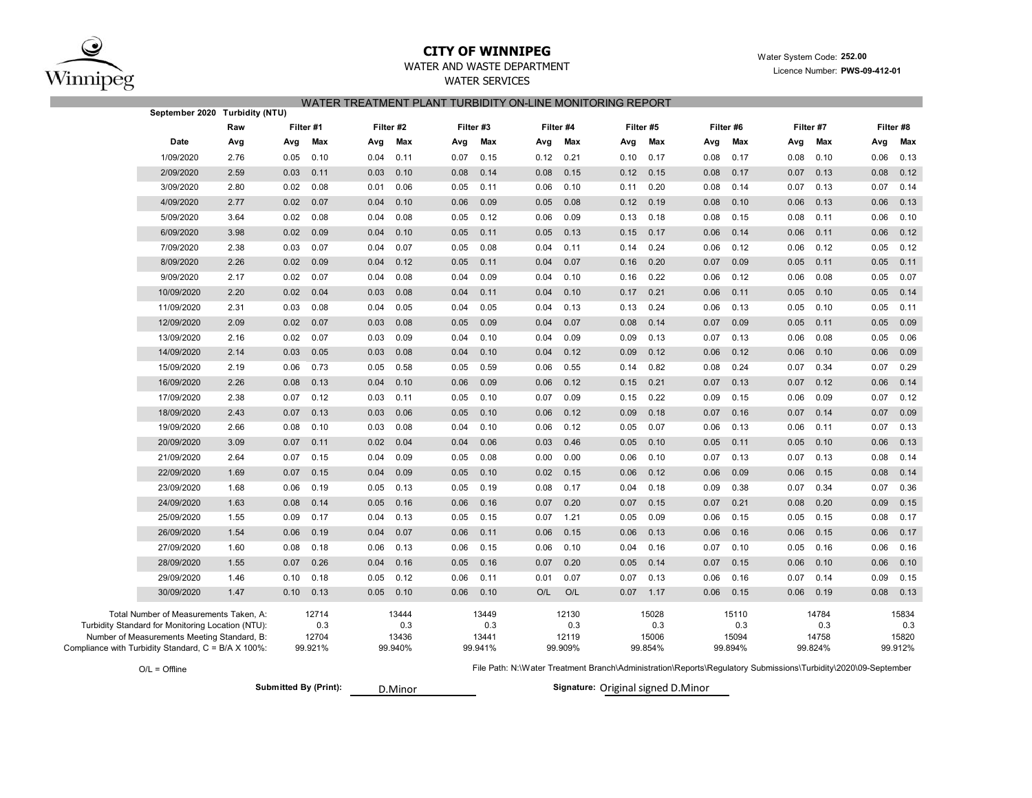

## **CITY OF WINNIPEG**

Water System Code: **252.00**

## WATER AND WASTE DEPARTMENTWATER SERVICES

Licence Number: **PWS-09-412-01**

### WATER TREATMENT PLANT TURBIDITY ON-LINE MONITORING REPORT

| September 2020                                                                                   | Turbidity (NTU) |           |              |      |              |           |              |      |              |      |              |      |              |                                                                                                                |              |      |              |  |  |
|--------------------------------------------------------------------------------------------------|-----------------|-----------|--------------|------|--------------|-----------|--------------|------|--------------|------|--------------|------|--------------|----------------------------------------------------------------------------------------------------------------|--------------|------|--------------|--|--|
|                                                                                                  | Raw             | Filter #1 |              |      | Filter #2    | Filter #3 |              |      | Filter #4    |      | Filter #5    |      | Filter #6    |                                                                                                                | Filter #7    |      | Filter #8    |  |  |
| Date                                                                                             | Avg             | Avg       | Max          | Avg  | Max          | Avg       | Max          | Avg  | Max          | Avg  | Max          | Avg  | Max          | Avg                                                                                                            | Max          | Avg  | Max          |  |  |
| 1/09/2020                                                                                        | 2.76            | 0.05      | 0.10         | 0.04 | 0.11         | 0.07      | 0.15         | 0.12 | 0.21         | 0.10 | 0.17         | 0.08 | 0.17         | 0.08                                                                                                           | 0.10         | 0.06 | 0.13         |  |  |
| 2/09/2020                                                                                        | 2.59            | 0.03      | 0.11         | 0.03 | 0.10         | 0.08      | 0.14         | 0.08 | 0.15         | 0.12 | 0.15         | 0.08 | 0.17         | 0.07                                                                                                           | 0.13         | 0.08 | 0.12         |  |  |
| 3/09/2020                                                                                        | 2.80            | 0.02      | 0.08         | 0.01 | 0.06         | 0.05      | 0.11         | 0.06 | 0.10         | 0.11 | 0.20         | 0.08 | 0.14         | 0.07                                                                                                           | 0.13         | 0.07 | 0.14         |  |  |
| 4/09/2020                                                                                        | 2.77            | 0.02      | 0.07         | 0.04 | 0.10         | 0.06      | 0.09         | 0.05 | 0.08         | 0.12 | 0.19         | 0.08 | 0.10         | 0.06                                                                                                           | 0.13         | 0.06 | 0.13         |  |  |
| 5/09/2020                                                                                        | 3.64            | 0.02      | 0.08         | 0.04 | 0.08         | 0.05      | 0.12         | 0.06 | 0.09         | 0.13 | 0.18         | 0.08 | 0.15         | 0.08                                                                                                           | 0.11         | 0.06 | 0.10         |  |  |
| 6/09/2020                                                                                        | 3.98            | 0.02      | 0.09         | 0.04 | 0.10         | 0.05      | 0.11         | 0.05 | 0.13         | 0.15 | 0.17         | 0.06 | 0.14         | 0.06                                                                                                           | 0.11         | 0.06 | 0.12         |  |  |
| 7/09/2020                                                                                        | 2.38            | 0.03      | 0.07         | 0.04 | 0.07         | 0.05      | 0.08         | 0.04 | 0.11         | 0.14 | 0.24         | 0.06 | 0.12         | 0.06                                                                                                           | 0.12         | 0.05 | 0.12         |  |  |
| 8/09/2020                                                                                        | 2.26            | 0.02      | 0.09         | 0.04 | 0.12         | 0.05      | 0.11         | 0.04 | 0.07         | 0.16 | 0.20         | 0.07 | 0.09         | 0.05                                                                                                           | 0.11         | 0.05 | 0.11         |  |  |
| 9/09/2020                                                                                        | 2.17            | 0.02      | 0.07         | 0.04 | 0.08         | 0.04      | 0.09         | 0.04 | 0.10         | 0.16 | 0.22         | 0.06 | 0.12         | 0.06                                                                                                           | 0.08         | 0.05 | 0.07         |  |  |
| 10/09/2020                                                                                       | 2.20            | 0.02      | 0.04         | 0.03 | 0.08         | 0.04      | 0.11         | 0.04 | 0.10         | 0.17 | 0.21         | 0.06 | 0.11         | 0.05                                                                                                           | 0.10         | 0.05 | 0.14         |  |  |
| 11/09/2020                                                                                       | 2.31            | 0.03      | 0.08         | 0.04 | 0.05         | 0.04      | 0.05         | 0.04 | 0.13         | 0.13 | 0.24         | 0.06 | 0.13         | 0.05                                                                                                           | 0.10         | 0.05 | 0.11         |  |  |
| 12/09/2020                                                                                       | 2.09            | 0.02      | 0.07         | 0.03 | 0.08         | 0.05      | 0.09         | 0.04 | 0.07         | 0.08 | 0.14         | 0.07 | 0.09         | 0.05                                                                                                           | 0.11         | 0.05 | 0.09         |  |  |
| 13/09/2020                                                                                       | 2.16            | 0.02      | 0.07         | 0.03 | 0.09         | 0.04      | 0.10         | 0.04 | 0.09         | 0.09 | 0.13         | 0.07 | 0.13         | 0.06                                                                                                           | 0.08         | 0.05 | 0.06         |  |  |
| 14/09/2020                                                                                       | 2.14            | 0.03      | 0.05         | 0.03 | 0.08         | 0.04      | 0.10         | 0.04 | 0.12         | 0.09 | 0.12         | 0.06 | 0.12         | 0.06                                                                                                           | 0.10         | 0.06 | 0.09         |  |  |
| 15/09/2020                                                                                       | 2.19            | 0.06      | 0.73         | 0.05 | 0.58         | 0.05      | 0.59         | 0.06 | 0.55         | 0.14 | 0.82         | 0.08 | 0.24         | 0.07                                                                                                           | 0.34         | 0.07 | 0.29         |  |  |
| 16/09/2020                                                                                       | 2.26            | 0.08      | 0.13         | 0.04 | 0.10         | 0.06      | 0.09         | 0.06 | 0.12         | 0.15 | 0.21         | 0.07 | 0.13         | 0.07                                                                                                           | 0.12         | 0.06 | 0.14         |  |  |
| 17/09/2020                                                                                       | 2.38            | 0.07      | 0.12         | 0.03 | 0.11         | 0.05      | 0.10         | 0.07 | 0.09         | 0.15 | 0.22         | 0.09 | 0.15         | 0.06                                                                                                           | 0.09         | 0.07 | 0.12         |  |  |
| 18/09/2020                                                                                       | 2.43            | 0.07      | 0.13         | 0.03 | 0.06         | 0.05      | 0.10         | 0.06 | 0.12         | 0.09 | 0.18         | 0.07 | 0.16         | 0.07                                                                                                           | 0.14         | 0.07 | 0.09         |  |  |
| 19/09/2020                                                                                       | 2.66            | 0.08      | 0.10         | 0.03 | 0.08         | 0.04      | 0.10         | 0.06 | 0.12         | 0.05 | 0.07         | 0.06 | 0.13         | 0.06                                                                                                           | 0.11         | 0.07 | 0.13         |  |  |
| 20/09/2020                                                                                       | 3.09            | 0.07      | 0.11         | 0.02 | 0.04         | 0.04      | 0.06         | 0.03 | 0.46         | 0.05 | 0.10         | 0.05 | 0.11         | 0.05                                                                                                           | 0.10         | 0.06 | 0.13         |  |  |
| 21/09/2020                                                                                       | 2.64            | 0.07      | 0.15         | 0.04 | 0.09         | 0.05      | 0.08         | 0.00 | 0.00         | 0.06 | 0.10         | 0.07 | 0.13         | 0.07                                                                                                           | 0.13         | 0.08 | 0.14         |  |  |
| 22/09/2020                                                                                       | 1.69            | 0.07      | 0.15         | 0.04 | 0.09         | 0.05      | 0.10         | 0.02 | 0.15         | 0.06 | 0.12         | 0.06 | 0.09         | 0.06                                                                                                           | 0.15         | 0.08 | 0.14         |  |  |
| 23/09/2020                                                                                       | 1.68            | 0.06      | 0.19         | 0.05 | 0.13         | 0.05      | 0.19         | 0.08 | 0.17         | 0.04 | 0.18         | 0.09 | 0.38         | 0.07                                                                                                           | 0.34         | 0.07 | 0.36         |  |  |
| 24/09/2020                                                                                       | 1.63            | 0.08      | 0.14         | 0.05 | 0.16         | 0.06      | 0.16         | 0.07 | 0.20         | 0.07 | 0.15         | 0.07 | 0.21         | 0.08                                                                                                           | 0.20         | 0.09 | 0.15         |  |  |
| 25/09/2020                                                                                       | 1.55            | 0.09      | 0.17         | 0.04 | 0.13         | 0.05      | 0.15         | 0.07 | 1.21         | 0.05 | 0.09         | 0.06 | 0.15         | 0.05                                                                                                           | 0.15         | 0.08 | 0.17         |  |  |
| 26/09/2020                                                                                       | 1.54            | 0.06      | 0.19         | 0.04 | 0.07         | 0.06      | 0.11         | 0.06 | 0.15         | 0.06 | 0.13         | 0.06 | 0.16         | 0.06                                                                                                           | 0.15         | 0.06 | 0.17         |  |  |
| 27/09/2020                                                                                       | 1.60            | 0.08      | 0.18         | 0.06 | 0.13         | 0.06      | 0.15         | 0.06 | 0.10         | 0.04 | 0.16         | 0.07 | 0.10         | 0.05                                                                                                           | 0.16         | 0.06 | 0.16         |  |  |
| 28/09/2020                                                                                       | 1.55            | 0.07      | 0.26         | 0.04 | 0.16         | 0.05      | 0.16         | 0.07 | 0.20         | 0.05 | 0.14         | 0.07 | 0.15         | 0.06                                                                                                           | 0.10         | 0.06 | 0.10         |  |  |
| 29/09/2020                                                                                       | 1.46            | 0.10      | 0.18         | 0.05 | 0.12         | 0.06      | 0.11         | 0.01 | 0.07         | 0.07 | 0.13         | 0.06 | 0.16         | 0.07                                                                                                           | 0.14         | 0.09 | 0.15         |  |  |
| 30/09/2020                                                                                       | 1.47            | 0.10      | 0.13         | 0.05 | 0.10         | 0.06      | 0.10         | O/L  | O/L          | 0.07 | 1.17         | 0.06 | 0.15         | 0.06                                                                                                           | 0.19         | 0.08 | 0.13         |  |  |
| Total Number of Measurements Taken, A:                                                           |                 |           | 12714        |      | 13444        |           | 13449        |      | 12130        |      | 15028        |      | 15110        |                                                                                                                | 14784        |      | 15834        |  |  |
| Turbidity Standard for Monitoring Location (NTU):<br>Number of Measurements Meeting Standard, B: |                 |           | 0.3<br>12704 |      | 0.3<br>13436 |           | 0.3<br>13441 |      | 0.3<br>12119 |      | 0.3<br>15006 |      | 0.3<br>15094 |                                                                                                                | 0.3<br>14758 |      | 0.3<br>15820 |  |  |
| Compliance with Turbidity Standard, C = B/A X 100%:                                              |                 |           | 99.921%      |      | 99.940%      |           | 99.941%      |      | 99.909%      |      | 99.854%      |      | 99.894%      |                                                                                                                | 99.824%      |      | 99.912%      |  |  |
| $O/L = Offline$                                                                                  |                 |           |              |      |              |           |              |      |              |      |              |      |              | File Path: N:\Water Treatment Branch\Administration\Reports\Regulatory Submissions\Turbidity\2020\09-September |              |      |              |  |  |

O/L = Offline

**Submitted By (Print):** 

D.Minor

Signature: Original signed D.Minor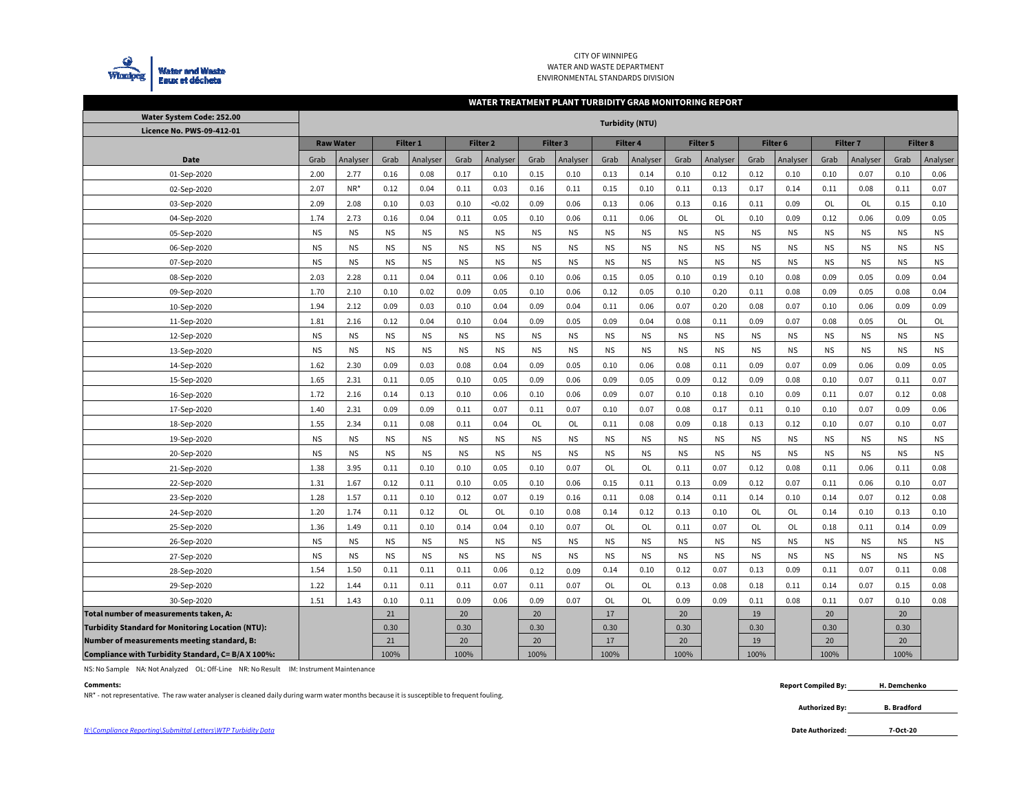

### CITY OF WINNIPEG WATER AND WASTE DEPARTMENT ENVIRONMENTAL STANDARDS DIVISION

### **WATER TREATMENT PLANT TURBIDITY GRAB MONITORING REPORT**

| Water System Code: 252.00                                | <b>Turbidity (NTU)</b> |                  |           |                 |           |                     |           |                 |           |                 |           |                 |                     |           |                 |           |                 |           |
|----------------------------------------------------------|------------------------|------------------|-----------|-----------------|-----------|---------------------|-----------|-----------------|-----------|-----------------|-----------|-----------------|---------------------|-----------|-----------------|-----------|-----------------|-----------|
| <b>Licence No. PWS-09-412-01</b>                         |                        |                  |           |                 |           |                     |           |                 |           |                 |           |                 |                     |           |                 |           |                 |           |
|                                                          |                        | <b>Raw Water</b> |           | <b>Filter 1</b> |           | Filter <sub>2</sub> |           | <b>Filter 3</b> |           | <b>Filter 4</b> |           | <b>Filter 5</b> | Filter <sub>6</sub> |           | <b>Filter 7</b> |           | <b>Filter 8</b> |           |
| Date                                                     | Analyser<br>Grab       |                  | Grab      | Analyser        | Grab      | Analyser            | Grab      | Analyser        | Grab      | Analyser        | Grab      | Analyser        | Grab                | Analyser  | Grab            | Analyser  | Grab            | Analyser  |
| 01-Sep-2020                                              | 2.00                   | 2.77             | 0.16      | 0.08            | 0.17      | 0.10                | 0.15      | 0.10            | 0.13      | 0.14            | 0.10      | 0.12            | 0.12                | 0.10      | 0.10            | 0.07      | 0.10            | 0.06      |
| 02-Sep-2020                                              | 2.07                   | NR*              | 0.12      | 0.04            | 0.11      | 0.03                | 0.16      | 0.11            | 0.15      | 0.10            | 0.11      | 0.13            | 0.17                | 0.14      | 0.11            | 0.08      | 0.11            | 0.07      |
| 03-Sep-2020                                              | 2.09                   | 2.08             | 0.10      | 0.03            | 0.10      | < 0.02              | 0.09      | 0.06            | 0.13      | 0.06            | 0.13      | 0.16            | 0.11                | 0.09      | OL              | <b>OL</b> | 0.15            | 0.10      |
| 04-Sep-2020                                              | 1.74                   | 2.73             | 0.16      | 0.04            | 0.11      | 0.05                | 0.10      | 0.06            | 0.11      | 0.06            | OL        | OL              | 0.10                | 0.09      | 0.12            | 0.06      | 0.09            | 0.05      |
| 05-Sep-2020                                              | <b>NS</b>              | <b>NS</b>        | <b>NS</b> | <b>NS</b>       | <b>NS</b> | <b>NS</b>           | <b>NS</b> | <b>NS</b>       | <b>NS</b> | <b>NS</b>       | <b>NS</b> | <b>NS</b>       | <b>NS</b>           | <b>NS</b> | <b>NS</b>       | <b>NS</b> | <b>NS</b>       | <b>NS</b> |
| 06-Sep-2020                                              | <b>NS</b>              | <b>NS</b>        | <b>NS</b> | <b>NS</b>       | <b>NS</b> | <b>NS</b>           | <b>NS</b> | <b>NS</b>       | <b>NS</b> | <b>NS</b>       | <b>NS</b> | <b>NS</b>       | <b>NS</b>           | <b>NS</b> | <b>NS</b>       | <b>NS</b> | <b>NS</b>       | <b>NS</b> |
| 07-Sep-2020                                              | <b>NS</b>              | <b>NS</b>        | <b>NS</b> | <b>NS</b>       | <b>NS</b> | <b>NS</b>           | <b>NS</b> | <b>NS</b>       | <b>NS</b> | <b>NS</b>       | <b>NS</b> | <b>NS</b>       | <b>NS</b>           | <b>NS</b> | <b>NS</b>       | <b>NS</b> | <b>NS</b>       | <b>NS</b> |
| 08-Sep-2020                                              | 2.03                   | 2.28             | 0.11      | 0.04            | 0.11      | 0.06                | 0.10      | 0.06            | 0.15      | 0.05            | 0.10      | 0.19            | 0.10                | 0.08      | 0.09            | 0.05      | 0.09            | 0.04      |
| 09-Sep-2020                                              | 1.70                   | 2.10             | 0.10      | 0.02            | 0.09      | 0.05                | 0.10      | 0.06            | 0.12      | 0.05            | 0.10      | 0.20            | 0.11                | 0.08      | 0.09            | 0.05      | 0.08            | 0.04      |
| 10-Sep-2020                                              | 1.94                   | 2.12             | 0.09      | 0.03            | 0.10      | 0.04                | 0.09      | 0.04            | 0.11      | 0.06            | 0.07      | 0.20            | 0.08                | 0.07      | 0.10            | 0.06      | 0.09            | 0.09      |
| 11-Sep-2020                                              | 1.81                   | 2.16             | 0.12      | 0.04            | 0.10      | 0.04                | 0.09      | 0.05            | 0.09      | 0.04            | 0.08      | 0.11            | 0.09                | 0.07      | 0.08            | 0.05      | OL              | OL        |
| 12-Sep-2020                                              | <b>NS</b>              | <b>NS</b>        | <b>NS</b> | <b>NS</b>       | <b>NS</b> | <b>NS</b>           | <b>NS</b> | <b>NS</b>       | <b>NS</b> | <b>NS</b>       | <b>NS</b> | <b>NS</b>       | <b>NS</b>           | <b>NS</b> | <b>NS</b>       | <b>NS</b> | <b>NS</b>       | <b>NS</b> |
| 13-Sep-2020                                              | <b>NS</b>              | <b>NS</b>        | <b>NS</b> | <b>NS</b>       | <b>NS</b> | <b>NS</b>           | <b>NS</b> | <b>NS</b>       | <b>NS</b> | <b>NS</b>       | <b>NS</b> | <b>NS</b>       | <b>NS</b>           | <b>NS</b> | <b>NS</b>       | <b>NS</b> | <b>NS</b>       | <b>NS</b> |
| 14-Sep-2020                                              | 1.62                   | 2.30             | 0.09      | 0.03            | 0.08      | 0.04                | 0.09      | 0.05            | 0.10      | 0.06            | 0.08      | 0.11            | 0.09                | 0.07      | 0.09            | 0.06      | 0.09            | 0.05      |
| 15-Sep-2020                                              | 1.65                   | 2.31             | 0.11      | 0.05            | 0.10      | 0.05                | 0.09      | 0.06            | 0.09      | 0.05            | 0.09      | 0.12            | 0.09                | 0.08      | 0.10            | 0.07      | 0.11            | 0.07      |
| 16-Sep-2020                                              | 1.72                   | 2.16             | 0.14      | 0.13            | 0.10      | 0.06                | 0.10      | 0.06            | 0.09      | 0.07            | 0.10      | 0.18            | 0.10                | 0.09      | 0.11            | 0.07      | 0.12            | 0.08      |
| 17-Sep-2020                                              | 1.40                   | 2.31             | 0.09      | 0.09            | 0.11      | 0.07                | 0.11      | 0.07            | 0.10      | 0.07            | 0.08      | 0.17            | 0.11                | 0.10      | 0.10            | 0.07      | 0.09            | 0.06      |
| 18-Sep-2020                                              | 1.55                   | 2.34             | 0.11      | 0.08            | 0.11      | 0.04                | OL        | OL              | 0.11      | 0.08            | 0.09      | 0.18            | 0.13                | 0.12      | 0.10            | 0.07      | 0.10            | 0.07      |
| 19-Sep-2020                                              | <b>NS</b>              | <b>NS</b>        | <b>NS</b> | <b>NS</b>       | <b>NS</b> | <b>NS</b>           | <b>NS</b> | <b>NS</b>       | <b>NS</b> | <b>NS</b>       | <b>NS</b> | <b>NS</b>       | <b>NS</b>           | <b>NS</b> | <b>NS</b>       | <b>NS</b> | <b>NS</b>       | <b>NS</b> |
| 20-Sep-2020                                              | <b>NS</b>              | <b>NS</b>        | <b>NS</b> | <b>NS</b>       | <b>NS</b> | <b>NS</b>           | <b>NS</b> | <b>NS</b>       | <b>NS</b> | <b>NS</b>       | <b>NS</b> | <b>NS</b>       | <b>NS</b>           | <b>NS</b> | <b>NS</b>       | <b>NS</b> | <b>NS</b>       | <b>NS</b> |
| 21-Sep-2020                                              | 1.38                   | 3.95             | 0.11      | 0.10            | 0.10      | 0.05                | 0.10      | 0.07            | OL        | OL              | 0.11      | 0.07            | 0.12                | 0.08      | 0.11            | 0.06      | 0.11            | 0.08      |
| 22-Sep-2020                                              | 1.31                   | 1.67             | 0.12      | 0.11            | 0.10      | 0.05                | 0.10      | 0.06            | 0.15      | 0.11            | 0.13      | 0.09            | 0.12                | 0.07      | 0.11            | 0.06      | 0.10            | 0.07      |
| 23-Sep-2020                                              | 1.28                   | 1.57             | 0.11      | 0.10            | 0.12      | 0.07                | 0.19      | 0.16            | 0.11      | 0.08            | 0.14      | 0.11            | 0.14                | 0.10      | 0.14            | 0.07      | 0.12            | 0.08      |
| 24-Sep-2020                                              | 1.20                   | 1.74             | 0.11      | 0.12            | OL        | OL                  | 0.10      | 0.08            | 0.14      | 0.12            | 0.13      | 0.10            | OL                  | <b>OL</b> | 0.14            | 0.10      | 0.13            | 0.10      |
| 25-Sep-2020                                              | 1.36                   | 1.49             | 0.11      | 0.10            | 0.14      | 0.04                | 0.10      | 0.07            | OL        | OL              | 0.11      | 0.07            | OL                  | <b>OL</b> | 0.18            | 0.11      | 0.14            | 0.09      |
| 26-Sep-2020                                              | <b>NS</b>              | <b>NS</b>        | <b>NS</b> | <b>NS</b>       | <b>NS</b> | <b>NS</b>           | <b>NS</b> | <b>NS</b>       | <b>NS</b> | <b>NS</b>       | <b>NS</b> | <b>NS</b>       | <b>NS</b>           | NS.       | <b>NS</b>       | <b>NS</b> | <b>NS</b>       | <b>NS</b> |
| 27-Sep-2020                                              | <b>NS</b>              | <b>NS</b>        | <b>NS</b> | <b>NS</b>       | <b>NS</b> | <b>NS</b>           | <b>NS</b> | <b>NS</b>       | <b>NS</b> | <b>NS</b>       | <b>NS</b> | <b>NS</b>       | <b>NS</b>           | <b>NS</b> | <b>NS</b>       | <b>NS</b> | <b>NS</b>       | <b>NS</b> |
| 28-Sep-2020                                              | 1.54                   | 1.50             | 0.11      | 0.11            | 0.11      | 0.06                | 0.12      | 0.09            | 0.14      | 0.10            | 0.12      | 0.07            | 0.13                | 0.09      | 0.11            | 0.07      | 0.11            | 0.08      |
| 29-Sep-2020                                              | 1.22                   | 1.44             | 0.11      | 0.11            | 0.11      | 0.07                | 0.11      | 0.07            | OL        | OL              | 0.13      | 0.08            | 0.18                | 0.11      | 0.14            | 0.07      | 0.15            | 0.08      |
| 30-Sep-2020                                              | 1.51                   | 1.43             | 0.10      | 0.11            | 0.09      | 0.06                | 0.09      | 0.07            | OL        | OL              | 0.09      | 0.09            | 0.11                | 0.08      | 0.11            | 0.07      | 0.10            | 0.08      |
| Total number of measurements taken, A:                   |                        |                  | 21        |                 | 20        |                     | 20        |                 | 17        |                 | 20        |                 | 19                  |           | 20              |           | 20              |           |
| <b>Turbidity Standard for Monitoring Location (NTU):</b> |                        |                  | 0.30      |                 | 0.30      |                     | 0.30      |                 | 0.30      |                 | 0.30      |                 | 0.30                |           | 0.30            |           | 0.30            |           |
| Number of measurements meeting standard, B:              |                        |                  | 21        |                 | 20        |                     | 20        |                 | 17        |                 | 20        |                 | 19                  |           | 20              |           | 20              |           |
| Compliance with Turbidity Standard, C= B/A X 100%:       |                        |                  | 100%      |                 | 100%      |                     | 100%      |                 | 100%      |                 | 100%      |                 | 100%                |           | 100%            |           | 100%            |           |

NS: No Sample NA: Not Analyzed OL: Off-Line NR: No Result IM: Instrument Maintenance

**Comments:**<br>NR\* - not representative. The raw water analyser is cleaned daily during warm water months because it is susceptible to frequent fouling.

**Authorized By: B. Bradford**

**7-Oct-20**

**H. Demchenko**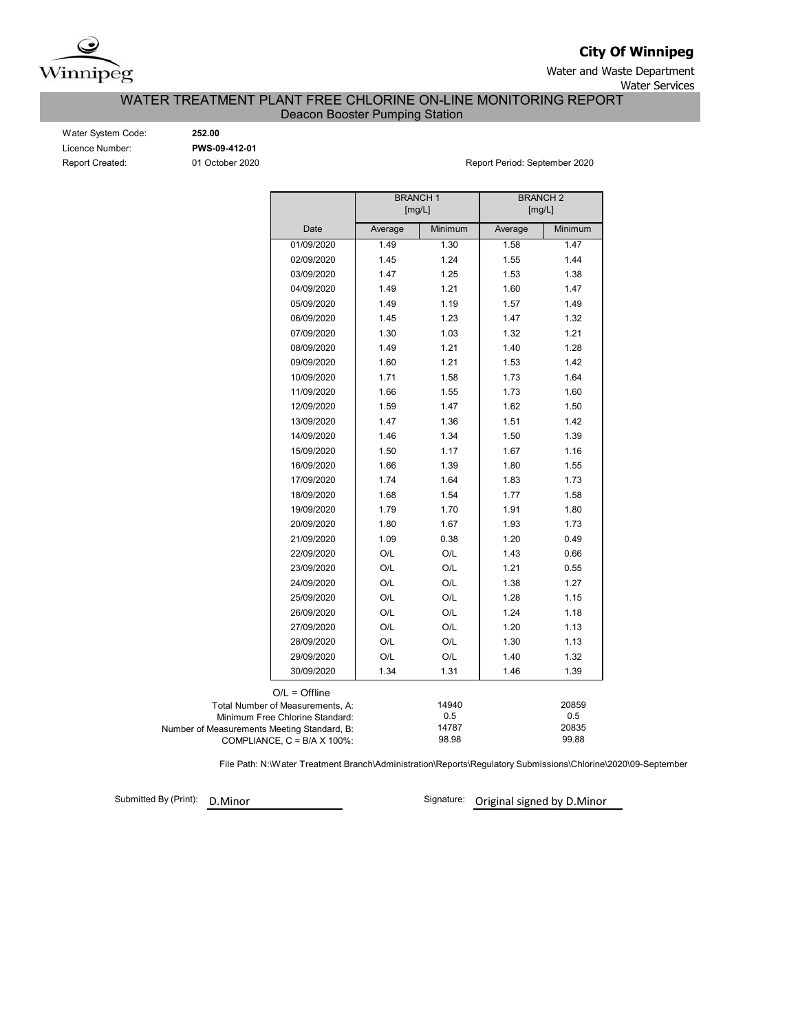

**City Of Winnipeg**

Water and Waste Department

Water Services

### Deacon Booster Pumping Station WATER TREATMENT PLANT FREE CHLORINE ON-LINE MONITORING REPORT

Water System Code: **252.00** Licence Number: **PWS-09-412-01**

Report Created: 01 October 2020 **Report Period: September 2020** Report Period: September 2020

|                                             |                                    | <b>BRANCH1</b><br>[mg/L] |                | <b>BRANCH2</b><br>[mg/L] |                |
|---------------------------------------------|------------------------------------|--------------------------|----------------|--------------------------|----------------|
|                                             | Date                               | Average                  | Minimum        | Average                  | Minimum        |
|                                             | 01/09/2020                         | 1.49                     | 1.30           | 1.58                     | 1.47           |
|                                             | 02/09/2020                         | 1.45                     | 1.24           | 1.55                     | 1.44           |
|                                             | 03/09/2020                         | 1.47                     | 1.25           | 1.53                     | 1.38           |
|                                             | 04/09/2020                         | 1.49                     | 1.21           | 1.60                     | 1.47           |
|                                             | 05/09/2020                         | 1.49                     | 1.19           | 1.57                     | 1.49           |
|                                             | 06/09/2020                         | 1.45                     | 1.23           | 1.47                     | 1.32           |
|                                             | 07/09/2020                         | 1.30                     | 1.03           | 1.32                     | 1.21           |
|                                             | 08/09/2020                         | 1.49                     | 1.21           | 1.40                     | 1.28           |
|                                             | 09/09/2020                         | 1.60                     | 1.21           | 1.53                     | 1.42           |
|                                             | 10/09/2020                         | 1.71                     | 1.58           | 1.73                     | 1.64           |
|                                             | 11/09/2020                         | 1.66                     | 1.55           | 1.73                     | 1.60           |
|                                             | 12/09/2020                         | 1.59                     | 1.47           | 1.62                     | 1.50           |
|                                             | 13/09/2020                         | 1.47                     | 1.36           | 1.51                     | 1.42           |
|                                             | 14/09/2020                         | 1.46                     | 1.34           | 1.50                     | 1.39           |
|                                             | 15/09/2020                         | 1.50                     | 1.17           | 1.67                     | 1.16           |
|                                             | 16/09/2020                         | 1.66                     | 1.39           | 1.80                     | 1.55           |
|                                             | 17/09/2020                         | 1.74                     | 1.64           | 1.83                     | 1.73           |
|                                             | 18/09/2020                         | 1.68                     | 1.54           | 1.77                     | 1.58           |
|                                             | 19/09/2020                         | 1.79                     | 1.70           | 1.91                     | 1.80           |
|                                             | 20/09/2020                         | 1.80                     | 1.67           | 1.93                     | 1.73           |
|                                             | 21/09/2020                         | 1.09                     | 0.38           | 1.20                     | 0.49           |
|                                             | 22/09/2020                         | O/L                      | O/L            | 1.43                     | 0.66           |
|                                             | 23/09/2020                         | O/L                      | O/L            | 1.21                     | 0.55           |
|                                             | 24/09/2020                         | O/L                      | O/L            | 1.38                     | 1.27           |
|                                             | 25/09/2020                         | O/L                      | O/L            | 1.28                     | 1.15           |
|                                             | 26/09/2020                         | O/L                      | O/L            | 1.24                     | 1.18           |
|                                             | 27/09/2020                         | O/L                      | O/L            | 1.20                     | 1.13           |
|                                             | 28/09/2020                         | O/L                      | O/L            | 1.30                     | 1.13           |
|                                             | 29/09/2020                         | O/L                      | O/L            | 1.40                     | 1.32           |
|                                             | 30/09/2020                         | 1.34                     | 1.31           | 1.46                     | 1.39           |
|                                             | $O/L =$ Offline                    |                          |                |                          |                |
|                                             | Total Number of Measurements, A:   |                          | 14940          |                          | 20859          |
|                                             | Minimum Free Chlorine Standard:    |                          | 0.5            |                          | 0.5            |
| Number of Measurements Meeting Standard, B: | COMPLIANCE, $C = B/A \times 100\%$ |                          | 14787<br>98.98 |                          | 20835<br>99.88 |

File Path: N:\Water Treatment Branch\Administration\Reports\Regulatory Submissions\Chlorine\2020\09-September

Submitted By (Print): D.Minor

Signature: Original signed by D.Minor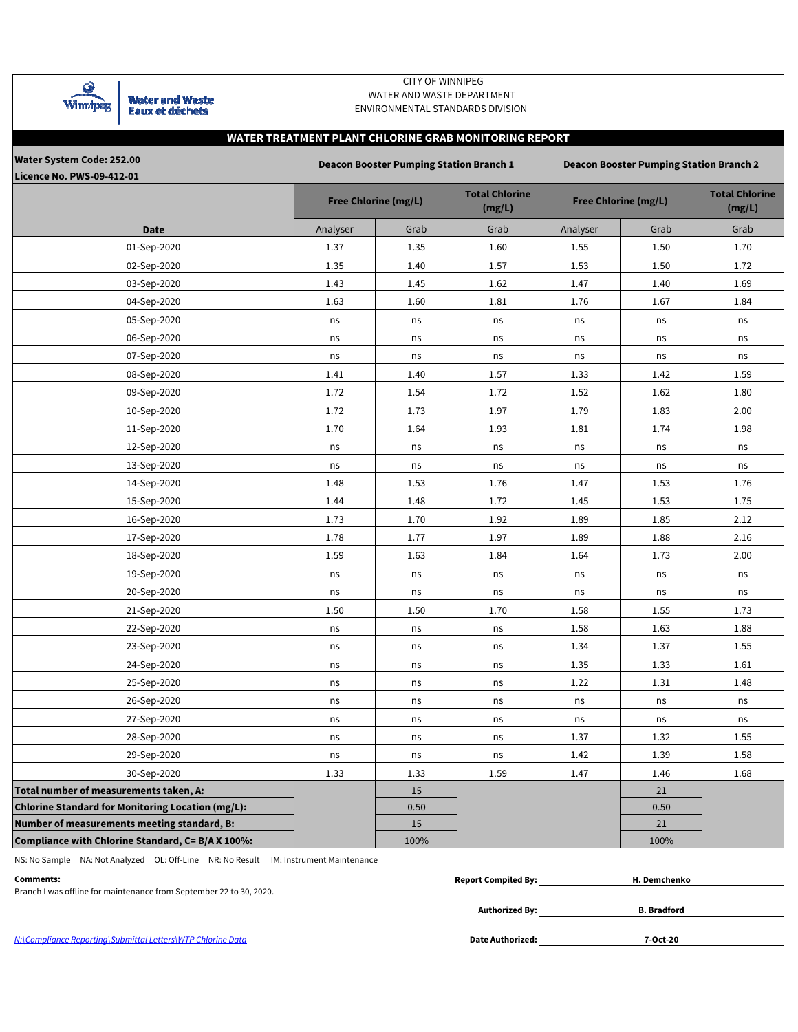| <b>Winnipeg</b>                        | <b>Water and Waste</b><br><b>Eaux et déchets</b>  |          | WATER AND WASTE DEPARTMENT                                                                                                                                | ENVIRONMENTAL STANDARDS DIVISION |          |                             |                                 |  |  |  |  |  |  |  |  |
|----------------------------------------|---------------------------------------------------|----------|-----------------------------------------------------------------------------------------------------------------------------------------------------------|----------------------------------|----------|-----------------------------|---------------------------------|--|--|--|--|--|--|--|--|
| <b>Water System Code: 252.00</b>       |                                                   |          | WATER TREATMENT PLANT CHLORINE GRAB MONITORING REPORT<br><b>Deacon Booster Pumping Station Branch 1</b><br><b>Deacon Booster Pumping Station Branch 2</b> |                                  |          |                             |                                 |  |  |  |  |  |  |  |  |
| <b>Licence No. PWS-09-412-01</b>       |                                                   |          | <b>Free Chlorine (mg/L)</b>                                                                                                                               | <b>Total Chlorine</b><br>(mg/L)  |          | <b>Free Chlorine (mg/L)</b> | <b>Total Chlorine</b><br>(mg/L) |  |  |  |  |  |  |  |  |
|                                        | <b>Date</b>                                       | Analyser | Grab                                                                                                                                                      | Grab                             | Analyser | Grab                        | Grab                            |  |  |  |  |  |  |  |  |
|                                        | 01-Sep-2020                                       | 1.37     | 1.35                                                                                                                                                      | 1.60                             | 1.55     | 1.50                        | 1.70                            |  |  |  |  |  |  |  |  |
|                                        | 02-Sep-2020                                       | 1.35     | 1.40                                                                                                                                                      | 1.57                             | 1.53     | 1.50                        | 1.72                            |  |  |  |  |  |  |  |  |
|                                        | 03-Sep-2020                                       | 1.43     | 1.45                                                                                                                                                      | 1.62                             | 1.47     | 1.40                        | 1.69                            |  |  |  |  |  |  |  |  |
|                                        | 04-Sep-2020                                       | 1.63     | 1.60                                                                                                                                                      | 1.81                             | 1.76     | 1.67                        | 1.84                            |  |  |  |  |  |  |  |  |
|                                        | 05-Sep-2020                                       | ns       | ns                                                                                                                                                        | ns                               | ns       | ns                          | ns                              |  |  |  |  |  |  |  |  |
|                                        | 06-Sep-2020                                       | ns       | ns                                                                                                                                                        | ns                               | ns       | ns                          | ns                              |  |  |  |  |  |  |  |  |
|                                        | 07-Sep-2020                                       | ns       | ns                                                                                                                                                        | ns                               | ns       | ns                          | ns                              |  |  |  |  |  |  |  |  |
|                                        | 08-Sep-2020                                       | 1.41     | 1.40                                                                                                                                                      | 1.57                             | 1.33     | 1.42                        | 1.59                            |  |  |  |  |  |  |  |  |
|                                        | 09-Sep-2020                                       | 1.72     | 1.54                                                                                                                                                      | 1.72                             | 1.52     | 1.62                        | 1.80                            |  |  |  |  |  |  |  |  |
|                                        | 10-Sep-2020                                       | 1.72     | 1.73                                                                                                                                                      | 1.97                             | 1.79     | 1.83                        | 2.00                            |  |  |  |  |  |  |  |  |
|                                        | 11-Sep-2020                                       | 1.70     | 1.64                                                                                                                                                      | 1.93                             | 1.81     | 1.74                        | 1.98                            |  |  |  |  |  |  |  |  |
|                                        | 12-Sep-2020                                       | ns       | ns                                                                                                                                                        | ns                               | ns       | ns                          | ns                              |  |  |  |  |  |  |  |  |
|                                        | 13-Sep-2020                                       | ns       | ns                                                                                                                                                        | ns                               | ns       | ns                          | ns                              |  |  |  |  |  |  |  |  |
|                                        | 14-Sep-2020                                       | 1.48     | 1.53                                                                                                                                                      | 1.76                             | 1.47     | 1.53                        | 1.76                            |  |  |  |  |  |  |  |  |
|                                        | 15-Sep-2020                                       | 1.44     | 1.48                                                                                                                                                      | 1.72                             | 1.45     | 1.53                        | 1.75                            |  |  |  |  |  |  |  |  |
|                                        | 16-Sep-2020                                       | 1.73     | 1.70                                                                                                                                                      | 1.92                             | 1.89     | 1.85                        | 2.12                            |  |  |  |  |  |  |  |  |
|                                        | 17-Sep-2020                                       | 1.78     | 1.77                                                                                                                                                      | 1.97                             | 1.89     | 1.88                        | 2.16                            |  |  |  |  |  |  |  |  |
|                                        | 18-Sep-2020                                       | 1.59     | 1.63                                                                                                                                                      | 1.84                             | 1.64     | 1.73                        | 2.00                            |  |  |  |  |  |  |  |  |
|                                        | 19-Sep-2020                                       | ns       | ns                                                                                                                                                        | ns                               | ns       | ns                          | ns                              |  |  |  |  |  |  |  |  |
|                                        | 20-Sep-2020                                       | ns       | ns                                                                                                                                                        | ns                               | ns       | ns                          | ns                              |  |  |  |  |  |  |  |  |
|                                        | 21-Sep-2020                                       | 1.50     | 1.50                                                                                                                                                      | 1.70                             | 1.58     | 1.55                        | 1.73                            |  |  |  |  |  |  |  |  |
|                                        | 22-Sep-2020                                       | ns       | ns                                                                                                                                                        | ns                               | 1.58     | 1.63                        | 1.88                            |  |  |  |  |  |  |  |  |
|                                        | 23-Sep-2020                                       | ns       | ns                                                                                                                                                        | ns                               | 1.34     | 1.37                        | 1.55                            |  |  |  |  |  |  |  |  |
|                                        | 24-Sep-2020                                       | ns       | ns                                                                                                                                                        | ns                               | 1.35     | 1.33                        | 1.61                            |  |  |  |  |  |  |  |  |
|                                        | 25-Sep-2020                                       | ns       | ns                                                                                                                                                        | ns                               | 1.22     | 1.31                        | 1.48                            |  |  |  |  |  |  |  |  |
|                                        | 26-Sep-2020                                       | ns       | ns                                                                                                                                                        | ns                               | ns       | ns                          | ns                              |  |  |  |  |  |  |  |  |
|                                        | 27-Sep-2020                                       | ns       | ns                                                                                                                                                        | ns                               | ns       | ns                          | ns                              |  |  |  |  |  |  |  |  |
|                                        | 28-Sep-2020                                       | ns       | ns                                                                                                                                                        | ns                               | 1.37     | 1.32                        | 1.55                            |  |  |  |  |  |  |  |  |
|                                        | 29-Sep-2020                                       | ns       | ns                                                                                                                                                        | ns                               | 1.42     | 1.39                        | 1.58                            |  |  |  |  |  |  |  |  |
|                                        | 30-Sep-2020                                       | 1.33     | 1.33                                                                                                                                                      | 1.59                             | 1.47     | 1.46                        | 1.68                            |  |  |  |  |  |  |  |  |
| Total number of measurements taken, A: |                                                   |          | 15                                                                                                                                                        |                                  |          | 21                          |                                 |  |  |  |  |  |  |  |  |
|                                        | Chlorine Standard for Monitoring Location (mg/L): |          | 0.50                                                                                                                                                      |                                  |          | 0.50                        |                                 |  |  |  |  |  |  |  |  |
|                                        | Number of measurements meeting standard, B:       |          | 15                                                                                                                                                        |                                  |          | 21                          |                                 |  |  |  |  |  |  |  |  |

 CITY OF WINNIPEG WATER AND WASTE DEPARTMENT

**Compliance with Chlorine Standard, C= B/A X 100%:** 100% 100%

NS: No Sample NA: Not Analyzed OL: Off-Line NR: No Result IM: Instrument Maintenance

<u>ବ</u>

| Comments:                                                           | <b>Report Compiled By:</b> | H. Demchenko       |  |
|---------------------------------------------------------------------|----------------------------|--------------------|--|
| Branch I was offline for maintenance from September 22 to 30, 2020. |                            |                    |  |
|                                                                     | <b>Authorized By:</b>      | <b>B.</b> Bradford |  |

N:\Compliance Reporting\Submittal Letters\WTP Chlorine Data

Date Authorized: 7-Oct-20